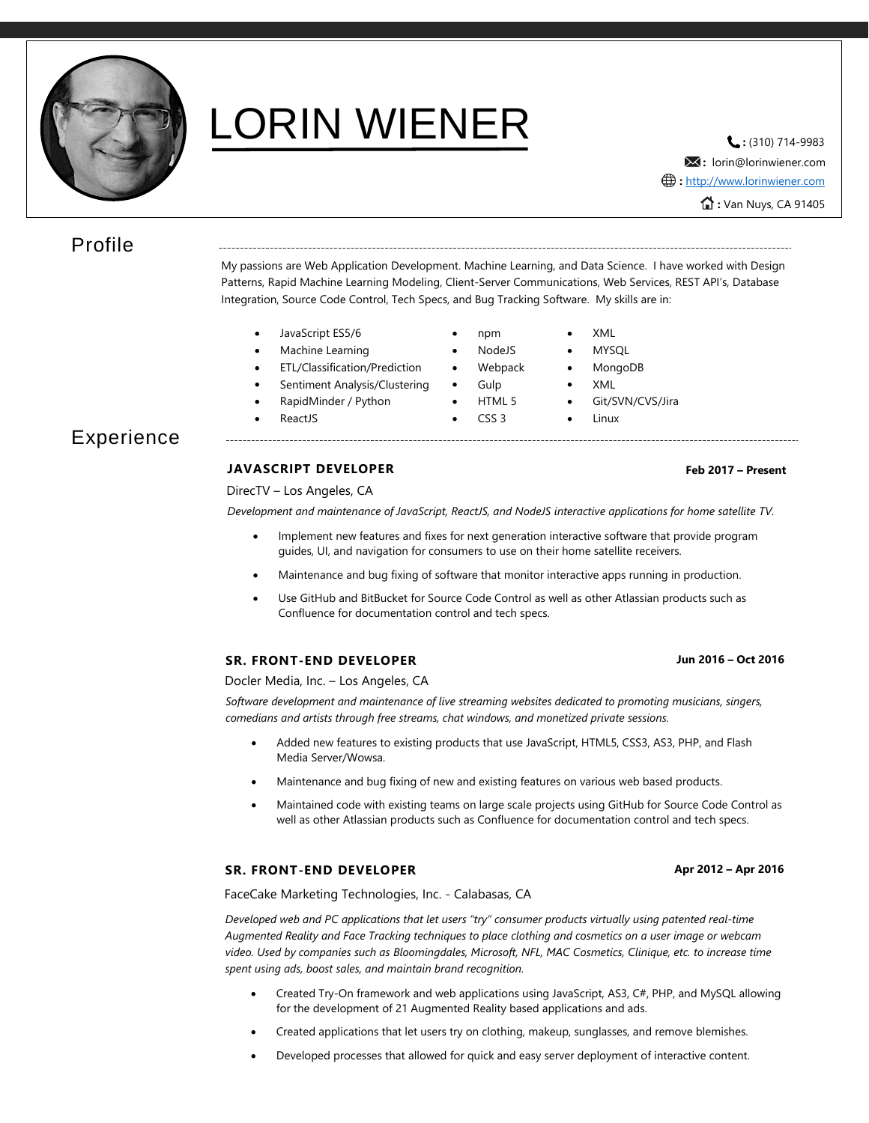

# LORIN WIENER **EINER**

**:** lorin@lorinwiener.com **:** Van Nuys, CA 91405 **:** [http://www.lorinwiener.com](http://www.lorinwiener.com/)

# Profile

My passions are Web Application Development. Machine Learning, and Data Science. I have worked with Design Patterns, Rapid Machine Learning Modeling, Client-Server Communications, Web Services, REST API's, Database Integration, Source Code Control, Tech Specs, and Bug Tracking Software. My skills are in:

- JavaScript ES5/6 npm XML
- Machine Learning NodeJS MYSQL
- ETL/Classification/Prediction Webpack MongoDB
- Sentiment Analysis/Clustering Gulp XML
- RapidMinder / Python HTML 5 Git/SVN/CVS/Jira
- ReactJS CSS 3 Linux

# Experience

## **JAVASCRIPT DEVELOPER**

DirecTV – Los Angeles, CA

*Development and maintenance of JavaScript, ReactJS, and NodeJS interactive applications for home satellite TV.*

- Implement new features and fixes for next generation interactive software that provide program guides, UI, and navigation for consumers to use on their home satellite receivers.
- Maintenance and bug fixing of software that monitor interactive apps running in production.
- Use GitHub and BitBucket for Source Code Control as well as other Atlassian products such as Confluence for documentation control and tech specs.

### **SR. FRONT-END DEVELOPER**

Docler Media, Inc. – Los Angeles, CA

*Software development and maintenance of live streaming websites dedicated to promoting musicians, singers, comedians and artists through free streams, chat windows, and monetized private sessions.*

- Added new features to existing products that use JavaScript, HTML5, CSS3, AS3, PHP, and Flash Media Server/Wowsa.
- Maintenance and bug fixing of new and existing features on various web based products.
- Maintained code with existing teams on large scale projects using GitHub for Source Code Control as well as other Atlassian products such as Confluence for documentation control and tech specs.

#### **SR. FRONT-END DEVELOPER**

FaceCake Marketing Technologies, Inc. - Calabasas, CA

*Developed web and PC applications that let users "try" consumer products virtually using patented real-time Augmented Reality and Face Tracking techniques to place clothing and cosmetics on a user image or webcam video. Used by companies such as Bloomingdales, Microsoft, NFL, MAC Cosmetics, Clinique, etc. to increase time spent using ads, boost sales, and maintain brand recognition.*

- Created Try-On framework and web applications using JavaScript, AS3, C#, PHP, and MySQL allowing for the development of 21 Augmented Reality based applications and ads.
- Created applications that let users try on clothing, makeup, sunglasses, and remove blemishes.
- Developed processes that allowed for quick and easy server deployment of interactive content.

### **Jun 2016 – Oct 2016**

**Feb 2017 – Present**

#### **Apr 2012 – Apr 2016**